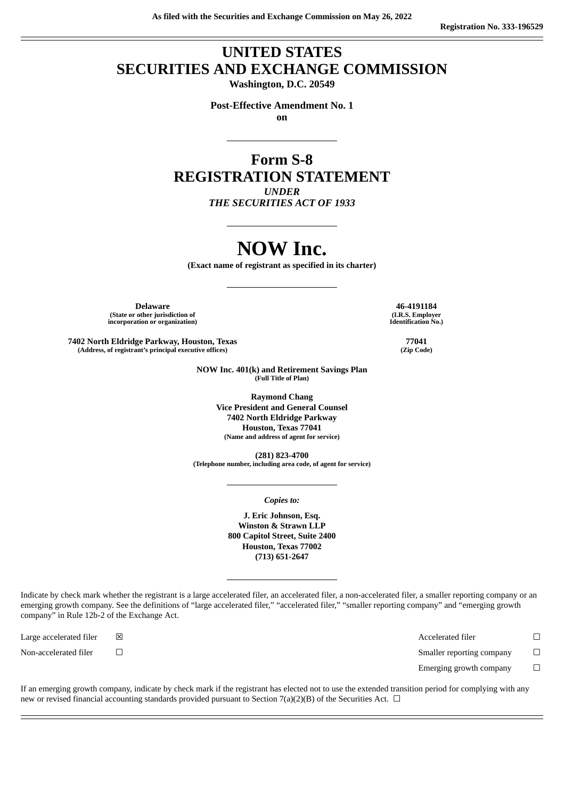## **UNITED STATES SECURITIES AND EXCHANGE COMMISSION**

**Washington, D.C. 20549**

**Post-Effective Amendment No. 1 on**

**Form S-8 REGISTRATION STATEMENT** *UNDER*

*THE SECURITIES ACT OF 1933*

# **NOW Inc.**

**(Exact name of registrant as specified in its charter)**

**Delaware 46-4191184 (State or other jurisdiction of incorporation or organization)**

**7402 North Eldridge Parkway, Houston, Texas (Address, of registrant's principal executive offices)**

> **NOW Inc. 401(k) and Retirement Savings Plan (Full Title of Plan)**

> > **Raymond Chang Vice President and General Counsel 7402 North Eldridge Parkway Houston, Texas 77041 (Name and address of agent for service)**

**(281) 823-4700 (Telephone number, including area code, of agent for service)**

*Copies to:*

**J. Eric Johnson, Esq. Winston & Strawn LLP 800 Capitol Street, Suite 2400 Houston, Texas 77002 (713) 651-2647**

Indicate by check mark whether the registrant is a large accelerated filer, an accelerated filer, a non-accelerated filer, a smaller reporting company or an emerging growth company. See the definitions of "large accelerated filer," "accelerated filer," "smaller reporting company" and "emerging growth company" in Rule 12b-2 of the Exchange Act.

Large accelerated filer ☒ Accelerated filer ☐ Non-accelerated filer <del>□</del> □ Emerging growth company  $\Box$ 

If an emerging growth company, indicate by check mark if the registrant has elected not to use the extended transition period for complying with any new or revised financial accounting standards provided pursuant to Section 7(a)(2)(B) of the Securities Act.  $\Box$ 

**(I.R.S. Employer Identification No.)**

> **77041 (Zip Code)**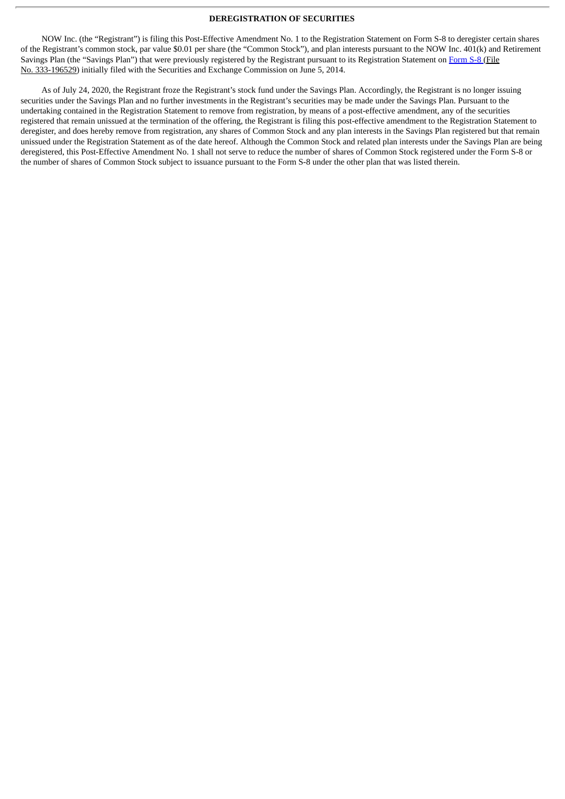#### **DEREGISTRATION OF SECURITIES**

NOW Inc. (the "Registrant") is filing this Post-Effective Amendment No. 1 to the Registration Statement on Form S-8 to deregister certain shares of the Registrant's common stock, par value \$0.01 per share (the "Common Stock"), and plan interests pursuant to the NOW Inc. 401(k) and Retirement Savings Plan (the "Savings Plan") that were previously registered by the Registrant pursuant to its Registration Statement on [Form](http://www.sec.gov/Archives/edgar/data/1599617/000119312514226873/d736332ds8.htm) S-8 (File No. 333-196529) initially filed with the Securities and Exchange Commission on June 5, 2014.

As of July 24, 2020, the Registrant froze the Registrant's stock fund under the Savings Plan. Accordingly, the Registrant is no longer issuing securities under the Savings Plan and no further investments in the Registrant's securities may be made under the Savings Plan. Pursuant to the undertaking contained in the Registration Statement to remove from registration, by means of a post-effective amendment, any of the securities registered that remain unissued at the termination of the offering, the Registrant is filing this post-effective amendment to the Registration Statement to deregister, and does hereby remove from registration, any shares of Common Stock and any plan interests in the Savings Plan registered but that remain unissued under the Registration Statement as of the date hereof. Although the Common Stock and related plan interests under the Savings Plan are being deregistered, this Post-Effective Amendment No. 1 shall not serve to reduce the number of shares of Common Stock registered under the Form S-8 or the number of shares of Common Stock subject to issuance pursuant to the Form S-8 under the other plan that was listed therein.